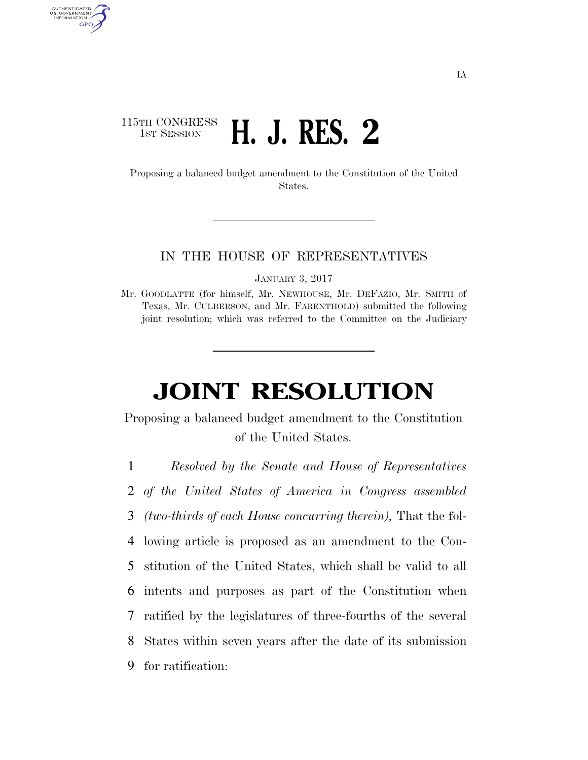## 115TH CONGRESS **1st Session H. J. RES. 2**

AUTHENTICATED U.S. GOVERNMENT GPO

> Proposing a balanced budget amendment to the Constitution of the United States.

## IN THE HOUSE OF REPRESENTATIVES

JANUARY 3, 2017

Mr. GOODLATTE (for himself, Mr. NEWHOUSE, Mr. DEFAZIO, Mr. SMITH of Texas, Mr. CULBERSON, and Mr. FARENTHOLD) submitted the following joint resolution; which was referred to the Committee on the Judiciary

## **JOINT RESOLUTION**

Proposing a balanced budget amendment to the Constitution of the United States.

1 *Resolved by the Senate and House of Representatives* 

2 *of the United States of America in Congress assembled*

3 *(two-thirds of each House concurring therein),* That the fol-

4 lowing article is proposed as an amendment to the Con-

5 stitution of the United States, which shall be valid to all

6 intents and purposes as part of the Constitution when

7 ratified by the legislatures of three-fourths of the several

8 States within seven years after the date of its submission

9 for ratification: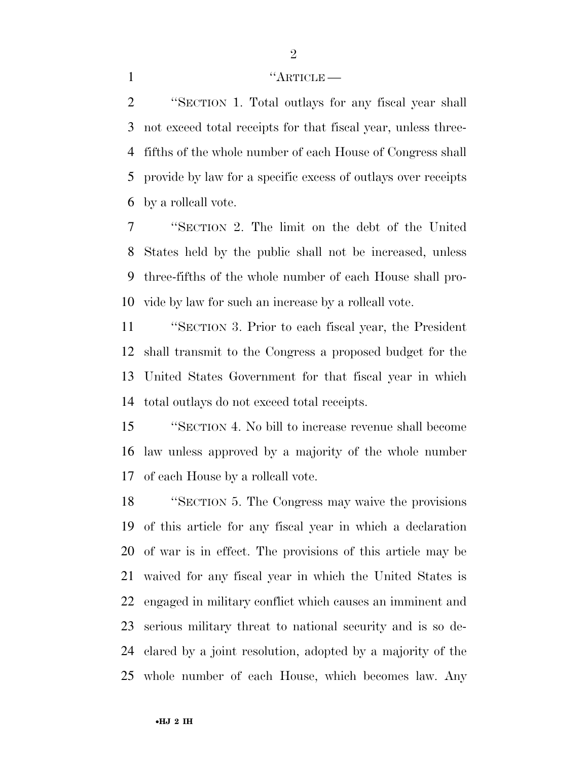## 1 ''ARTICLE

 ''SECTION 1. Total outlays for any fiscal year shall not exceed total receipts for that fiscal year, unless three- fifths of the whole number of each House of Congress shall provide by law for a specific excess of outlays over receipts by a rollcall vote.

 ''SECTION 2. The limit on the debt of the United States held by the public shall not be increased, unless three-fifths of the whole number of each House shall pro-vide by law for such an increase by a rollcall vote.

 ''SECTION 3. Prior to each fiscal year, the President shall transmit to the Congress a proposed budget for the United States Government for that fiscal year in which total outlays do not exceed total receipts.

 ''SECTION 4. No bill to increase revenue shall become law unless approved by a majority of the whole number of each House by a rollcall vote.

 ''SECTION 5. The Congress may waive the provisions of this article for any fiscal year in which a declaration of war is in effect. The provisions of this article may be waived for any fiscal year in which the United States is engaged in military conflict which causes an imminent and serious military threat to national security and is so de- clared by a joint resolution, adopted by a majority of the whole number of each House, which becomes law. Any